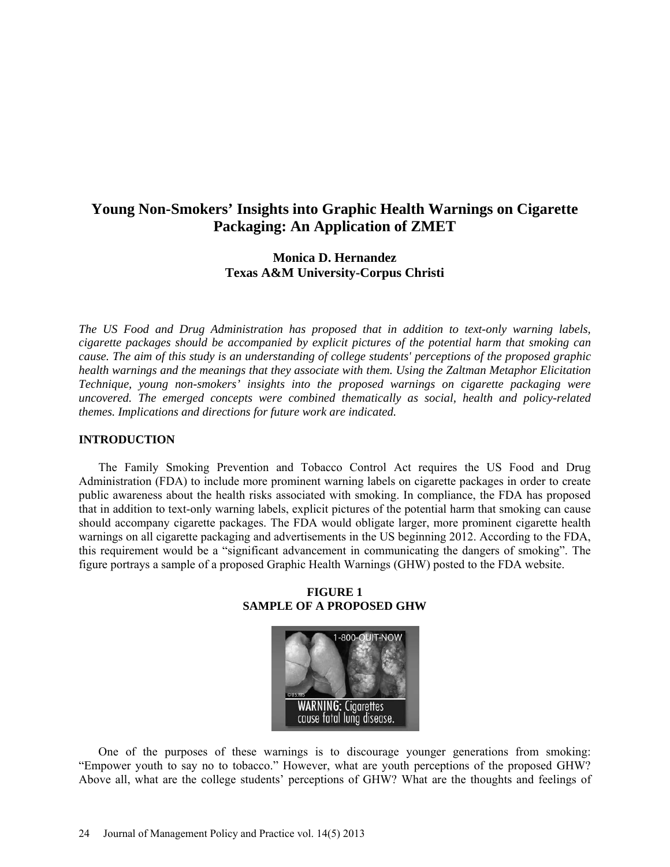# **Young Non-Smokers' Insights into Graphic Health Warnings on Cigarette Packaging: An Application of ZMET**

# **Monica D. Hernandez Texas A&M University-Corpus Christi**

*The US Food and Drug Administration has proposed that in addition to text-only warning labels, cigarette packages should be accompanied by explicit pictures of the potential harm that smoking can cause. The aim of this study is an understanding of college students' perceptions of the proposed graphic health warnings and the meanings that they associate with them. Using the Zaltman Metaphor Elicitation Technique, young non-smokers' insights into the proposed warnings on cigarette packaging were uncovered. The emerged concepts were combined thematically as social, health and policy-related themes. Implications and directions for future work are indicated.*

### **INTRODUCTION**

The Family Smoking Prevention and Tobacco Control Act requires the US Food and Drug Administration (FDA) to include more prominent warning labels on cigarette packages in order to create public awareness about the health risks associated with smoking. In compliance, the FDA has proposed that in addition to text-only warning labels, explicit pictures of the potential harm that smoking can cause should accompany cigarette packages. The FDA would obligate larger, more prominent cigarette health warnings on all cigarette packaging and advertisements in the US beginning 2012. According to the FDA, this requirement would be a "significant advancement in communicating the dangers of smoking". The figure portrays a sample of a proposed Graphic Health Warnings (GHW) posted to the FDA website.



**FIGURE 1 SAMPLE OF A PROPOSED GHW**

One of the purposes of these warnings is to discourage younger generations from smoking: "Empower youth to say no to tobacco." However, what are youth perceptions of the proposed GHW? Above all, what are the college students' perceptions of GHW? What are the thoughts and feelings of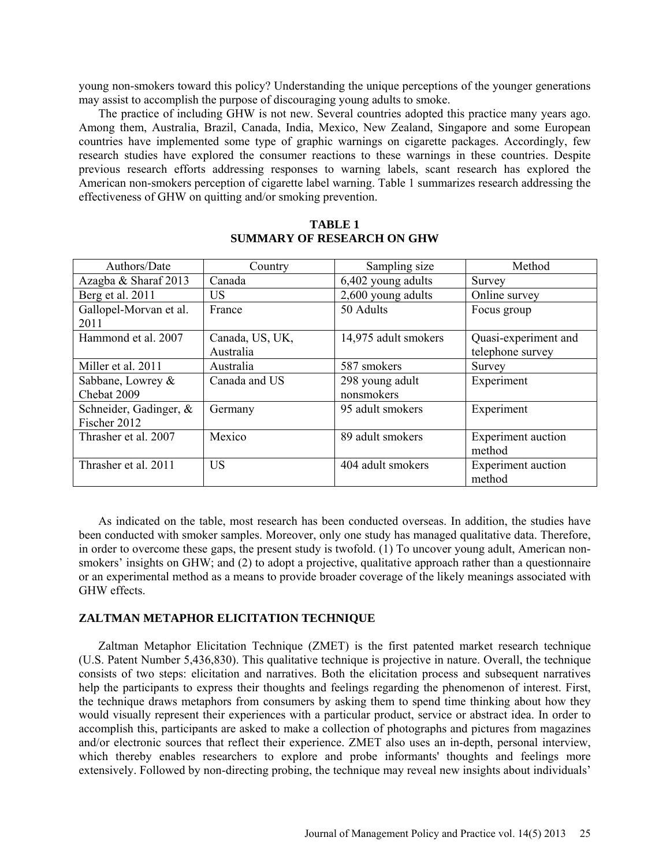young non-smokers toward this policy? Understanding the unique perceptions of the younger generations may assist to accomplish the purpose of discouraging young adults to smoke.

The practice of including GHW is not new. Several countries adopted this practice many years ago. Among them, Australia, Brazil, Canada, India, Mexico, New Zealand, Singapore and some European countries have implemented some type of graphic warnings on cigarette packages. Accordingly, few research studies have explored the consumer reactions to these warnings in these countries. Despite previous research efforts addressing responses to warning labels, scant research has explored the American non-smokers perception of cigarette label warning. Table 1 summarizes research addressing the effectiveness of GHW on quitting and/or smoking prevention.

| Authors/Date           | Country         | Sampling size        | Method                    |
|------------------------|-----------------|----------------------|---------------------------|
| Azagba & Sharaf 2013   | Canada          | 6,402 young adults   | Survey                    |
| Berg et al. 2011       | <b>US</b>       | 2,600 young adults   | Online survey             |
| Gallopel-Morvan et al. | France          | 50 Adults            | Focus group               |
| 2011                   |                 |                      |                           |
| Hammond et al. 2007    | Canada, US, UK, | 14,975 adult smokers | Quasi-experiment and      |
|                        | Australia       |                      | telephone survey          |
| Miller et al. 2011     | Australia       | 587 smokers          | Survey                    |
| Sabbane, Lowrey &      | Canada and US   | 298 young adult      | Experiment                |
| Chebat 2009            |                 | nonsmokers           |                           |
| Schneider, Gadinger, & | Germany         | 95 adult smokers     | Experiment                |
| Fischer 2012           |                 |                      |                           |
| Thrasher et al. 2007   | Mexico          | 89 adult smokers     | <b>Experiment</b> auction |
|                        |                 |                      | method                    |
| Thrasher et al. 2011   | <b>US</b>       | 404 adult smokers    | <b>Experiment</b> auction |
|                        |                 |                      | method                    |

### **TABLE 1 SUMMARY OF RESEARCH ON GHW**

As indicated on the table, most research has been conducted overseas. In addition, the studies have been conducted with smoker samples. Moreover, only one study has managed qualitative data. Therefore, in order to overcome these gaps, the present study is twofold. (1) To uncover young adult, American nonsmokers' insights on GHW; and (2) to adopt a projective, qualitative approach rather than a questionnaire or an experimental method as a means to provide broader coverage of the likely meanings associated with GHW effects.

#### **ZALTMAN METAPHOR ELICITATION TECHNIQUE**

Zaltman Metaphor Elicitation Technique (ZMET) is the first patented market research technique (U.S. Patent Number 5,436,830). This qualitative technique is projective in nature. Overall, the technique consists of two steps: elicitation and narratives. Both the elicitation process and subsequent narratives help the participants to express their thoughts and feelings regarding the phenomenon of interest. First, the technique draws metaphors from consumers by asking them to spend time thinking about how they would visually represent their experiences with a particular product, service or abstract idea. In order to accomplish this, participants are asked to make a collection of photographs and pictures from magazines and/or electronic sources that reflect their experience. ZMET also uses an in-depth, personal interview, which thereby enables researchers to explore and probe informants' thoughts and feelings more extensively. Followed by non-directing probing, the technique may reveal new insights about individuals'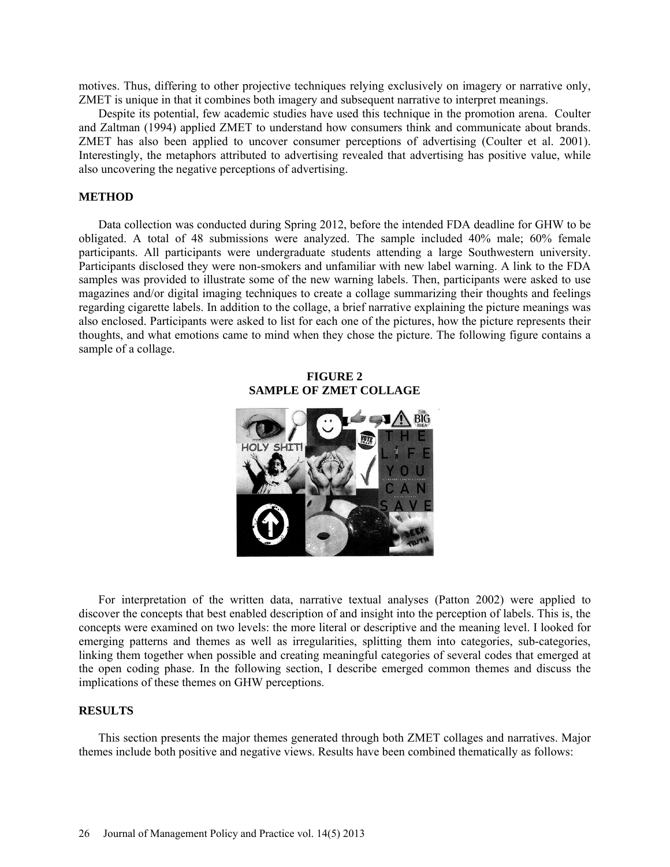motives. Thus, differing to other projective techniques relying exclusively on imagery or narrative only, ZMET is unique in that it combines both imagery and subsequent narrative to interpret meanings.

Despite its potential, few academic studies have used this technique in the promotion arena. Coulter and Zaltman (1994) applied ZMET to understand how consumers think and communicate about brands. ZMET has also been applied to uncover consumer perceptions of advertising (Coulter et al. 2001). Interestingly, the metaphors attributed to advertising revealed that advertising has positive value, while also uncovering the negative perceptions of advertising.

#### **METHOD**

Data collection was conducted during Spring 2012, before the intended FDA deadline for GHW to be obligated. A total of 48 submissions were analyzed. The sample included 40% male; 60% female participants. All participants were undergraduate students attending a large Southwestern university. Participants disclosed they were non-smokers and unfamiliar with new label warning. A link to the FDA samples was provided to illustrate some of the new warning labels. Then, participants were asked to use magazines and/or digital imaging techniques to create a collage summarizing their thoughts and feelings regarding cigarette labels. In addition to the collage, a brief narrative explaining the picture meanings was also enclosed. Participants were asked to list for each one of the pictures, how the picture represents their thoughts, and what emotions came to mind when they chose the picture. The following figure contains a sample of a collage.

#### **FIGURE 2 SAMPLE OF ZMET COLLAGE**



For interpretation of the written data, narrative textual analyses (Patton 2002) were applied to discover the concepts that best enabled description of and insight into the perception of labels. This is, the concepts were examined on two levels: the more literal or descriptive and the meaning level. I looked for emerging patterns and themes as well as irregularities, splitting them into categories, sub-categories, linking them together when possible and creating meaningful categories of several codes that emerged at the open coding phase. In the following section, I describe emerged common themes and discuss the implications of these themes on GHW perceptions.

#### **RESULTS**

This section presents the major themes generated through both ZMET collages and narratives. Major themes include both positive and negative views. Results have been combined thematically as follows: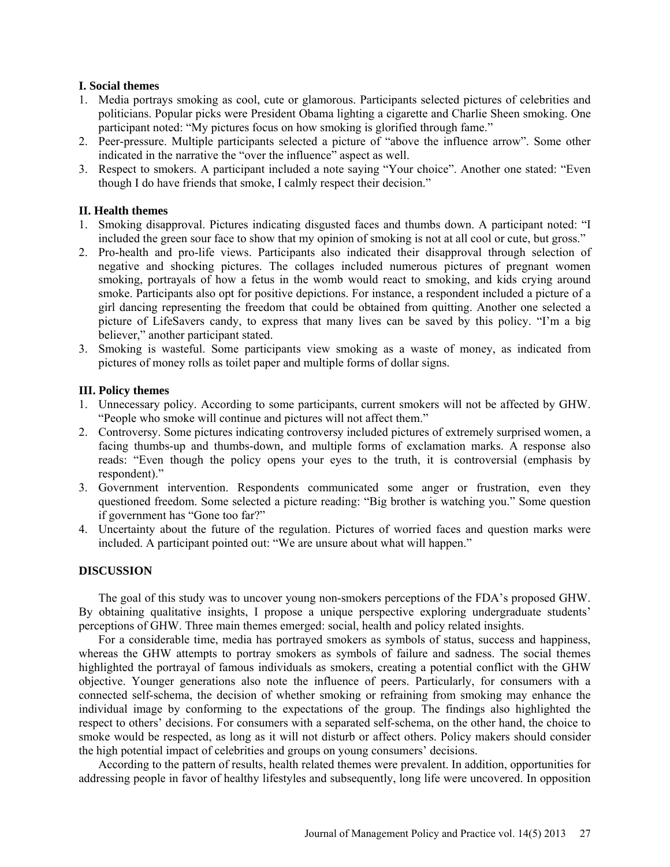### **I. Social themes**

- 1. Media portrays smoking as cool, cute or glamorous. Participants selected pictures of celebrities and politicians. Popular picks were President Obama lighting a cigarette and Charlie Sheen smoking. One participant noted: "My pictures focus on how smoking is glorified through fame."
- 2. Peer-pressure. Multiple participants selected a picture of "above the influence arrow". Some other indicated in the narrative the "over the influence" aspect as well.
- 3. Respect to smokers. A participant included a note saying "Your choice". Another one stated: "Even though I do have friends that smoke, I calmly respect their decision."

# **II. Health themes**

- 1. Smoking disapproval. Pictures indicating disgusted faces and thumbs down. A participant noted: "I included the green sour face to show that my opinion of smoking is not at all cool or cute, but gross."
- 2. Pro-health and pro-life views. Participants also indicated their disapproval through selection of negative and shocking pictures. The collages included numerous pictures of pregnant women smoking, portrayals of how a fetus in the womb would react to smoking, and kids crying around smoke. Participants also opt for positive depictions. For instance, a respondent included a picture of a girl dancing representing the freedom that could be obtained from quitting. Another one selected a picture of LifeSavers candy, to express that many lives can be saved by this policy. "I'm a big believer," another participant stated.
- 3. Smoking is wasteful. Some participants view smoking as a waste of money, as indicated from pictures of money rolls as toilet paper and multiple forms of dollar signs.

# **III. Policy themes**

- 1. Unnecessary policy. According to some participants, current smokers will not be affected by GHW. "People who smoke will continue and pictures will not affect them."
- 2. Controversy. Some pictures indicating controversy included pictures of extremely surprised women, a facing thumbs-up and thumbs-down, and multiple forms of exclamation marks. A response also reads: "Even though the policy opens your eyes to the truth, it is controversial (emphasis by respondent)."
- 3. Government intervention. Respondents communicated some anger or frustration, even they questioned freedom. Some selected a picture reading: "Big brother is watching you." Some question if government has "Gone too far?"
- 4. Uncertainty about the future of the regulation. Pictures of worried faces and question marks were included. A participant pointed out: "We are unsure about what will happen."

#### **DISCUSSION**

The goal of this study was to uncover young non-smokers perceptions of the FDA's proposed GHW. By obtaining qualitative insights, I propose a unique perspective exploring undergraduate students' perceptions of GHW. Three main themes emerged: social, health and policy related insights.

For a considerable time, media has portrayed smokers as symbols of status, success and happiness, whereas the GHW attempts to portray smokers as symbols of failure and sadness. The social themes highlighted the portrayal of famous individuals as smokers, creating a potential conflict with the GHW objective. Younger generations also note the influence of peers. Particularly, for consumers with a connected self-schema, the decision of whether smoking or refraining from smoking may enhance the individual image by conforming to the expectations of the group. The findings also highlighted the respect to others' decisions. For consumers with a separated self-schema, on the other hand, the choice to smoke would be respected, as long as it will not disturb or affect others. Policy makers should consider the high potential impact of celebrities and groups on young consumers' decisions.

According to the pattern of results, health related themes were prevalent. In addition, opportunities for addressing people in favor of healthy lifestyles and subsequently, long life were uncovered. In opposition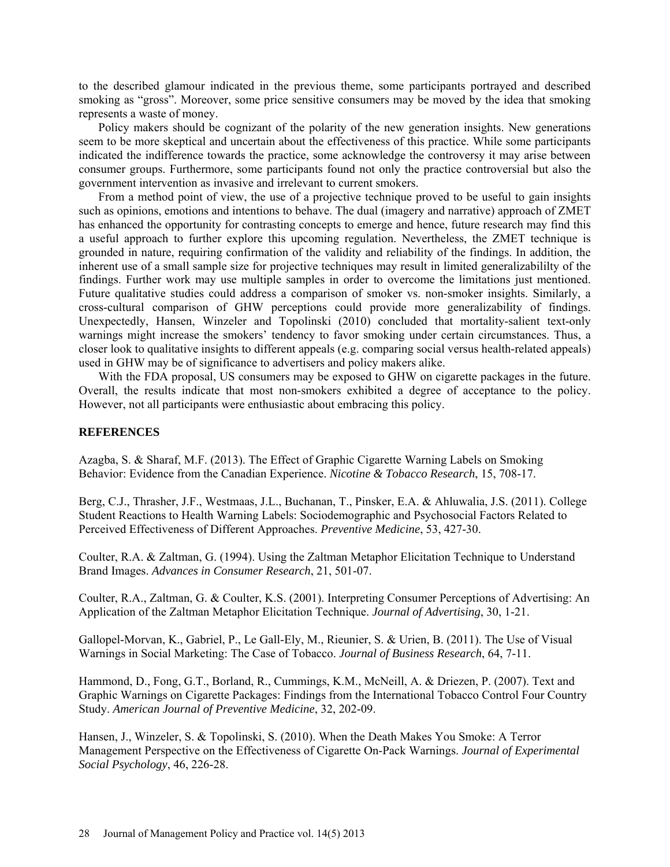to the described glamour indicated in the previous theme, some participants portrayed and described smoking as "gross". Moreover, some price sensitive consumers may be moved by the idea that smoking represents a waste of money.

Policy makers should be cognizant of the polarity of the new generation insights. New generations seem to be more skeptical and uncertain about the effectiveness of this practice. While some participants indicated the indifference towards the practice, some acknowledge the controversy it may arise between consumer groups. Furthermore, some participants found not only the practice controversial but also the government intervention as invasive and irrelevant to current smokers.

From a method point of view, the use of a projective technique proved to be useful to gain insights such as opinions, emotions and intentions to behave. The dual (imagery and narrative) approach of ZMET has enhanced the opportunity for contrasting concepts to emerge and hence, future research may find this a useful approach to further explore this upcoming regulation. Nevertheless, the ZMET technique is grounded in nature, requiring confirmation of the validity and reliability of the findings. In addition, the inherent use of a small sample size for projective techniques may result in limited generalizabililty of the findings. Further work may use multiple samples in order to overcome the limitations just mentioned. Future qualitative studies could address a comparison of smoker vs. non-smoker insights. Similarly, a cross-cultural comparison of GHW perceptions could provide more generalizability of findings. Unexpectedly, Hansen, Winzeler and Topolinski (2010) concluded that mortality-salient text-only warnings might increase the smokers' tendency to favor smoking under certain circumstances. Thus, a closer look to qualitative insights to different appeals (e.g. comparing social versus health-related appeals) used in GHW may be of significance to advertisers and policy makers alike.

With the FDA proposal, US consumers may be exposed to GHW on cigarette packages in the future. Overall, the results indicate that most non-smokers exhibited a degree of acceptance to the policy. However, not all participants were enthusiastic about embracing this policy.

#### **REFERENCES**

Azagba, S. & Sharaf, M.F. (2013). The Effect of Graphic Cigarette Warning Labels on Smoking Behavior: Evidence from the Canadian Experience. *Nicotine & Tobacco Research*, 15, 708-17.

Berg, C.J., Thrasher, J.F., Westmaas, J.L., Buchanan, T., Pinsker, E.A. & Ahluwalia, J.S. (2011). College Student Reactions to Health Warning Labels: Sociodemographic and Psychosocial Factors Related to Perceived Effectiveness of Different Approaches. *Preventive Medicine*, 53, 427-30.

Coulter, R.A. & Zaltman, G. (1994). Using the Zaltman Metaphor Elicitation Technique to Understand Brand Images. *Advances in Consumer Research*, 21, 501-07.

Coulter, R.A., Zaltman, G. & Coulter, K.S. (2001). Interpreting Consumer Perceptions of Advertising: An Application of the Zaltman Metaphor Elicitation Technique. *Journal of Advertising*, 30, 1-21.

Gallopel-Morvan, K., Gabriel, P., Le Gall-Ely, M., Rieunier, S. & Urien, B. (2011). The Use of Visual Warnings in Social Marketing: The Case of Tobacco. *Journal of Business Research*, 64, 7-11.

Hammond, D., Fong, G.T., Borland, R., Cummings, K.M., McNeill, A. & Driezen, P. (2007). Text and Graphic Warnings on Cigarette Packages: Findings from the International Tobacco Control Four Country Study. *American Journal of Preventive Medicine*, 32, 202-09.

Hansen, J., Winzeler, S. & Topolinski, S. (2010). When the Death Makes You Smoke: A Terror Management Perspective on the Effectiveness of Cigarette On-Pack Warnings. *Journal of Experimental Social Psychology*, 46, 226-28.